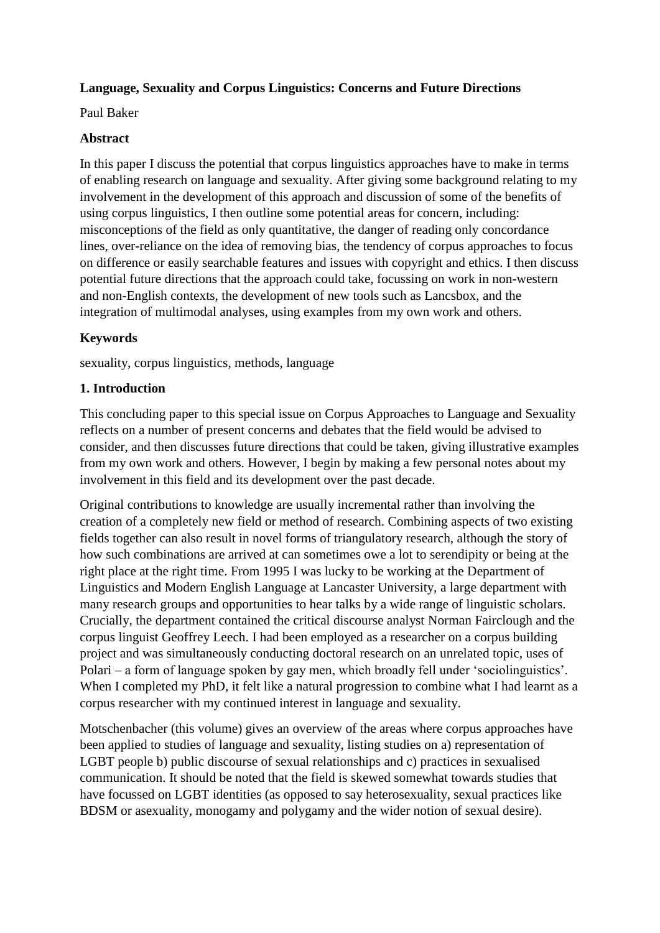# **Language, Sexuality and Corpus Linguistics: Concerns and Future Directions**

Paul Baker

### **Abstract**

In this paper I discuss the potential that corpus linguistics approaches have to make in terms of enabling research on language and sexuality. After giving some background relating to my involvement in the development of this approach and discussion of some of the benefits of using corpus linguistics, I then outline some potential areas for concern, including: misconceptions of the field as only quantitative, the danger of reading only concordance lines, over-reliance on the idea of removing bias, the tendency of corpus approaches to focus on difference or easily searchable features and issues with copyright and ethics. I then discuss potential future directions that the approach could take, focussing on work in non-western and non-English contexts, the development of new tools such as Lancsbox, and the integration of multimodal analyses, using examples from my own work and others.

# **Keywords**

sexuality, corpus linguistics, methods, language

## **1. Introduction**

This concluding paper to this special issue on Corpus Approaches to Language and Sexuality reflects on a number of present concerns and debates that the field would be advised to consider, and then discusses future directions that could be taken, giving illustrative examples from my own work and others. However, I begin by making a few personal notes about my involvement in this field and its development over the past decade.

Original contributions to knowledge are usually incremental rather than involving the creation of a completely new field or method of research. Combining aspects of two existing fields together can also result in novel forms of triangulatory research, although the story of how such combinations are arrived at can sometimes owe a lot to serendipity or being at the right place at the right time. From 1995 I was lucky to be working at the Department of Linguistics and Modern English Language at Lancaster University, a large department with many research groups and opportunities to hear talks by a wide range of linguistic scholars. Crucially, the department contained the critical discourse analyst Norman Fairclough and the corpus linguist Geoffrey Leech. I had been employed as a researcher on a corpus building project and was simultaneously conducting doctoral research on an unrelated topic, uses of Polari – a form of language spoken by gay men, which broadly fell under 'sociolinguistics'. When I completed my PhD, it felt like a natural progression to combine what I had learnt as a corpus researcher with my continued interest in language and sexuality.

Motschenbacher (this volume) gives an overview of the areas where corpus approaches have been applied to studies of language and sexuality, listing studies on a) representation of LGBT people b) public discourse of sexual relationships and c) practices in sexualised communication. It should be noted that the field is skewed somewhat towards studies that have focussed on LGBT identities (as opposed to say heterosexuality, sexual practices like BDSM or asexuality, monogamy and polygamy and the wider notion of sexual desire).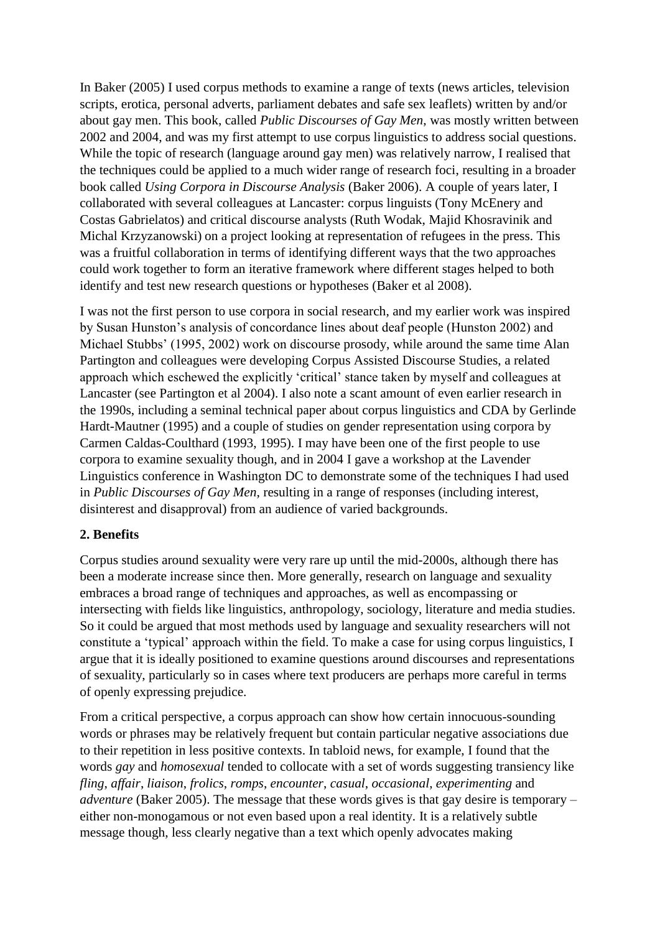In Baker (2005) I used corpus methods to examine a range of texts (news articles, television scripts, erotica, personal adverts, parliament debates and safe sex leaflets) written by and/or about gay men. This book, called *Public Discourses of Gay Men*, was mostly written between 2002 and 2004, and was my first attempt to use corpus linguistics to address social questions. While the topic of research (language around gay men) was relatively narrow, I realised that the techniques could be applied to a much wider range of research foci, resulting in a broader book called *Using Corpora in Discourse Analysis* (Baker 2006). A couple of years later, I collaborated with several colleagues at Lancaster: corpus linguists (Tony McEnery and Costas Gabrielatos) and critical discourse analysts (Ruth Wodak, Majid Khosravinik and Michal Krzyzanowski) on a project looking at representation of refugees in the press. This was a fruitful collaboration in terms of identifying different ways that the two approaches could work together to form an iterative framework where different stages helped to both identify and test new research questions or hypotheses (Baker et al 2008).

I was not the first person to use corpora in social research, and my earlier work was inspired by Susan Hunston's analysis of concordance lines about deaf people (Hunston 2002) and Michael Stubbs' (1995, 2002) work on discourse prosody, while around the same time Alan Partington and colleagues were developing Corpus Assisted Discourse Studies, a related approach which eschewed the explicitly 'critical' stance taken by myself and colleagues at Lancaster (see Partington et al 2004). I also note a scant amount of even earlier research in the 1990s, including a seminal technical paper about corpus linguistics and CDA by Gerlinde Hardt-Mautner (1995) and a couple of studies on gender representation using corpora by Carmen Caldas-Coulthard (1993, 1995). I may have been one of the first people to use corpora to examine sexuality though, and in 2004 I gave a workshop at the Lavender Linguistics conference in Washington DC to demonstrate some of the techniques I had used in *Public Discourses of Gay Men*, resulting in a range of responses (including interest, disinterest and disapproval) from an audience of varied backgrounds.

## **2. Benefits**

Corpus studies around sexuality were very rare up until the mid-2000s, although there has been a moderate increase since then. More generally, research on language and sexuality embraces a broad range of techniques and approaches, as well as encompassing or intersecting with fields like linguistics, anthropology, sociology, literature and media studies. So it could be argued that most methods used by language and sexuality researchers will not constitute a 'typical' approach within the field. To make a case for using corpus linguistics, I argue that it is ideally positioned to examine questions around discourses and representations of sexuality, particularly so in cases where text producers are perhaps more careful in terms of openly expressing prejudice.

From a critical perspective, a corpus approach can show how certain innocuous-sounding words or phrases may be relatively frequent but contain particular negative associations due to their repetition in less positive contexts. In tabloid news, for example, I found that the words *gay* and *homosexual* tended to collocate with a set of words suggesting transiency like *fling*, *affair*, *liaison*, *frolics*, *romps*, *encounter*, *casual*, *occasional*, *experimenting* and *adventure* (Baker 2005). The message that these words gives is that gay desire is temporary – either non-monogamous or not even based upon a real identity. It is a relatively subtle message though, less clearly negative than a text which openly advocates making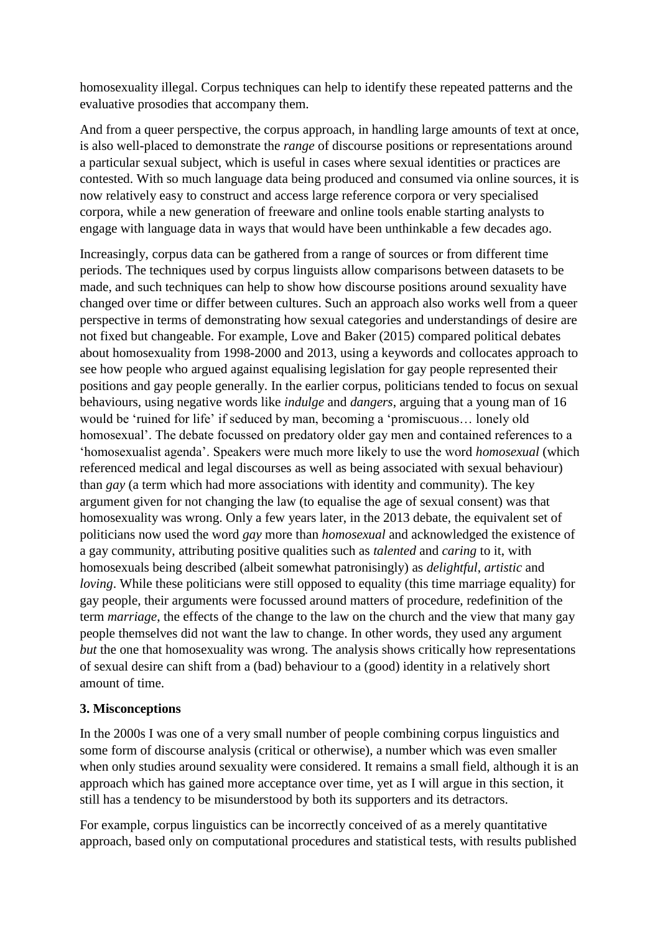homosexuality illegal. Corpus techniques can help to identify these repeated patterns and the evaluative prosodies that accompany them.

And from a queer perspective, the corpus approach, in handling large amounts of text at once, is also well-placed to demonstrate the *range* of discourse positions or representations around a particular sexual subject, which is useful in cases where sexual identities or practices are contested. With so much language data being produced and consumed via online sources, it is now relatively easy to construct and access large reference corpora or very specialised corpora, while a new generation of freeware and online tools enable starting analysts to engage with language data in ways that would have been unthinkable a few decades ago.

Increasingly, corpus data can be gathered from a range of sources or from different time periods. The techniques used by corpus linguists allow comparisons between datasets to be made, and such techniques can help to show how discourse positions around sexuality have changed over time or differ between cultures. Such an approach also works well from a queer perspective in terms of demonstrating how sexual categories and understandings of desire are not fixed but changeable. For example, Love and Baker (2015) compared political debates about homosexuality from 1998-2000 and 2013, using a keywords and collocates approach to see how people who argued against equalising legislation for gay people represented their positions and gay people generally. In the earlier corpus, politicians tended to focus on sexual behaviours, using negative words like *indulge* and *dangers*, arguing that a young man of 16 would be 'ruined for life' if seduced by man, becoming a 'promiscuous… lonely old homosexual'. The debate focussed on predatory older gay men and contained references to a 'homosexualist agenda'. Speakers were much more likely to use the word *homosexual* (which referenced medical and legal discourses as well as being associated with sexual behaviour) than *gay* (a term which had more associations with identity and community). The key argument given for not changing the law (to equalise the age of sexual consent) was that homosexuality was wrong. Only a few years later, in the 2013 debate, the equivalent set of politicians now used the word *gay* more than *homosexual* and acknowledged the existence of a gay community, attributing positive qualities such as *talented* and *caring* to it, with homosexuals being described (albeit somewhat patronisingly) as *delightful*, *artistic* and *loving*. While these politicians were still opposed to equality (this time marriage equality) for gay people, their arguments were focussed around matters of procedure, redefinition of the term *marriage*, the effects of the change to the law on the church and the view that many gay people themselves did not want the law to change. In other words, they used any argument *but* the one that homosexuality was wrong. The analysis shows critically how representations of sexual desire can shift from a (bad) behaviour to a (good) identity in a relatively short amount of time.

## **3. Misconceptions**

In the 2000s I was one of a very small number of people combining corpus linguistics and some form of discourse analysis (critical or otherwise), a number which was even smaller when only studies around sexuality were considered. It remains a small field, although it is an approach which has gained more acceptance over time, yet as I will argue in this section, it still has a tendency to be misunderstood by both its supporters and its detractors.

For example, corpus linguistics can be incorrectly conceived of as a merely quantitative approach, based only on computational procedures and statistical tests, with results published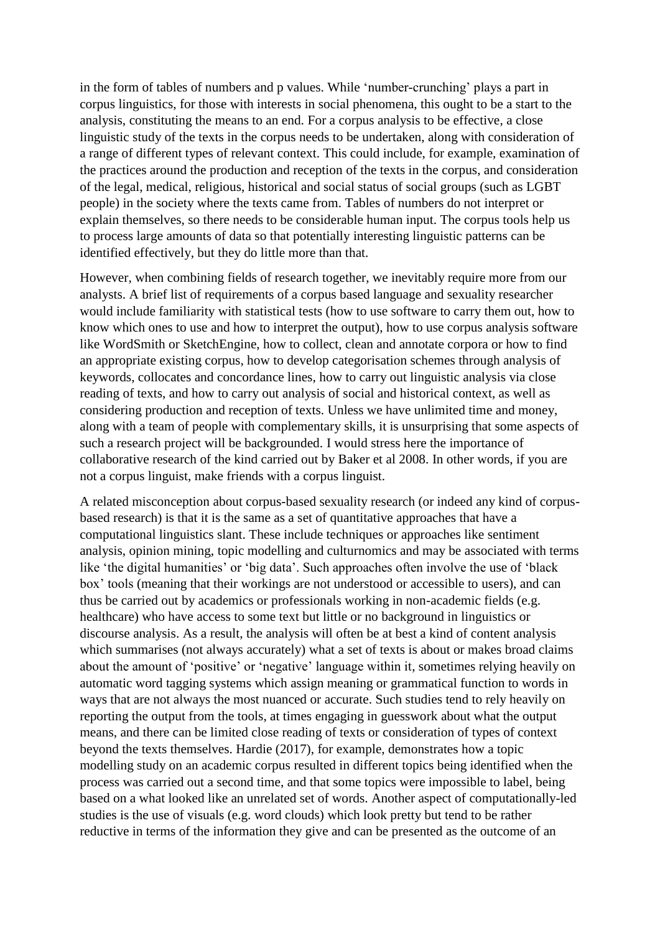in the form of tables of numbers and p values. While 'number-crunching' plays a part in corpus linguistics, for those with interests in social phenomena, this ought to be a start to the analysis, constituting the means to an end. For a corpus analysis to be effective, a close linguistic study of the texts in the corpus needs to be undertaken, along with consideration of a range of different types of relevant context. This could include, for example, examination of the practices around the production and reception of the texts in the corpus, and consideration of the legal, medical, religious, historical and social status of social groups (such as LGBT people) in the society where the texts came from. Tables of numbers do not interpret or explain themselves, so there needs to be considerable human input. The corpus tools help us to process large amounts of data so that potentially interesting linguistic patterns can be identified effectively, but they do little more than that.

However, when combining fields of research together, we inevitably require more from our analysts. A brief list of requirements of a corpus based language and sexuality researcher would include familiarity with statistical tests (how to use software to carry them out, how to know which ones to use and how to interpret the output), how to use corpus analysis software like WordSmith or SketchEngine, how to collect, clean and annotate corpora or how to find an appropriate existing corpus, how to develop categorisation schemes through analysis of keywords, collocates and concordance lines, how to carry out linguistic analysis via close reading of texts, and how to carry out analysis of social and historical context, as well as considering production and reception of texts. Unless we have unlimited time and money, along with a team of people with complementary skills, it is unsurprising that some aspects of such a research project will be backgrounded. I would stress here the importance of collaborative research of the kind carried out by Baker et al 2008. In other words, if you are not a corpus linguist, make friends with a corpus linguist.

A related misconception about corpus-based sexuality research (or indeed any kind of corpusbased research) is that it is the same as a set of quantitative approaches that have a computational linguistics slant. These include techniques or approaches like sentiment analysis, opinion mining, topic modelling and culturnomics and may be associated with terms like 'the digital humanities' or 'big data'. Such approaches often involve the use of 'black box' tools (meaning that their workings are not understood or accessible to users), and can thus be carried out by academics or professionals working in non-academic fields (e.g. healthcare) who have access to some text but little or no background in linguistics or discourse analysis. As a result, the analysis will often be at best a kind of content analysis which summarises (not always accurately) what a set of texts is about or makes broad claims about the amount of 'positive' or 'negative' language within it, sometimes relying heavily on automatic word tagging systems which assign meaning or grammatical function to words in ways that are not always the most nuanced or accurate. Such studies tend to rely heavily on reporting the output from the tools, at times engaging in guesswork about what the output means, and there can be limited close reading of texts or consideration of types of context beyond the texts themselves. Hardie (2017), for example, demonstrates how a topic modelling study on an academic corpus resulted in different topics being identified when the process was carried out a second time, and that some topics were impossible to label, being based on a what looked like an unrelated set of words. Another aspect of computationally-led studies is the use of visuals (e.g. word clouds) which look pretty but tend to be rather reductive in terms of the information they give and can be presented as the outcome of an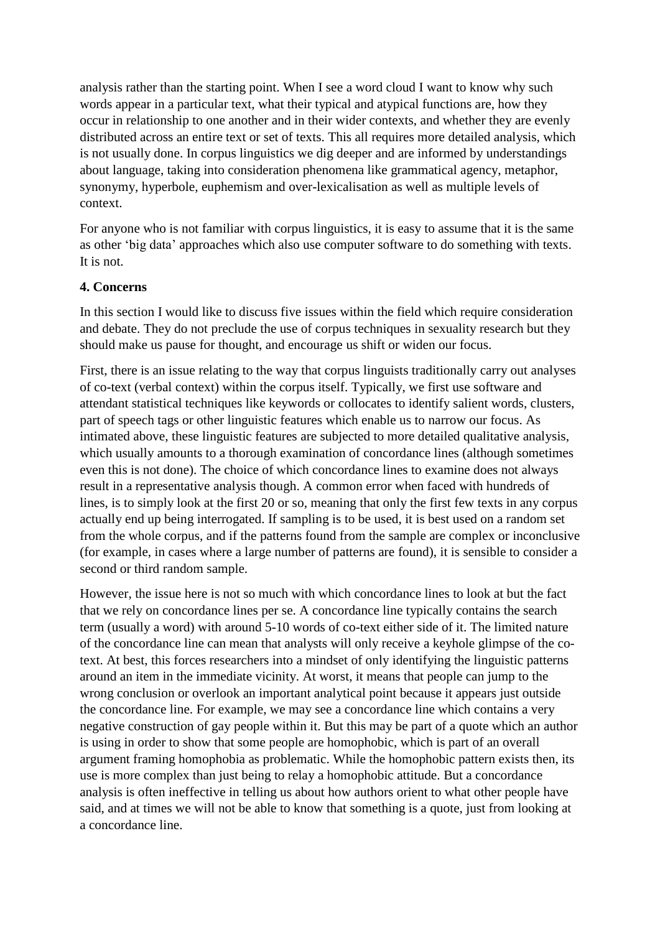analysis rather than the starting point. When I see a word cloud I want to know why such words appear in a particular text, what their typical and atypical functions are, how they occur in relationship to one another and in their wider contexts, and whether they are evenly distributed across an entire text or set of texts. This all requires more detailed analysis, which is not usually done. In corpus linguistics we dig deeper and are informed by understandings about language, taking into consideration phenomena like grammatical agency, metaphor, synonymy, hyperbole, euphemism and over-lexicalisation as well as multiple levels of context.

For anyone who is not familiar with corpus linguistics, it is easy to assume that it is the same as other 'big data' approaches which also use computer software to do something with texts. It is not.

### **4. Concerns**

In this section I would like to discuss five issues within the field which require consideration and debate. They do not preclude the use of corpus techniques in sexuality research but they should make us pause for thought, and encourage us shift or widen our focus.

First, there is an issue relating to the way that corpus linguists traditionally carry out analyses of co-text (verbal context) within the corpus itself. Typically, we first use software and attendant statistical techniques like keywords or collocates to identify salient words, clusters, part of speech tags or other linguistic features which enable us to narrow our focus. As intimated above, these linguistic features are subjected to more detailed qualitative analysis, which usually amounts to a thorough examination of concordance lines (although sometimes even this is not done). The choice of which concordance lines to examine does not always result in a representative analysis though. A common error when faced with hundreds of lines, is to simply look at the first 20 or so, meaning that only the first few texts in any corpus actually end up being interrogated. If sampling is to be used, it is best used on a random set from the whole corpus, and if the patterns found from the sample are complex or inconclusive (for example, in cases where a large number of patterns are found), it is sensible to consider a second or third random sample.

However, the issue here is not so much with which concordance lines to look at but the fact that we rely on concordance lines per se. A concordance line typically contains the search term (usually a word) with around 5-10 words of co-text either side of it. The limited nature of the concordance line can mean that analysts will only receive a keyhole glimpse of the cotext. At best, this forces researchers into a mindset of only identifying the linguistic patterns around an item in the immediate vicinity. At worst, it means that people can jump to the wrong conclusion or overlook an important analytical point because it appears just outside the concordance line. For example, we may see a concordance line which contains a very negative construction of gay people within it. But this may be part of a quote which an author is using in order to show that some people are homophobic, which is part of an overall argument framing homophobia as problematic. While the homophobic pattern exists then, its use is more complex than just being to relay a homophobic attitude. But a concordance analysis is often ineffective in telling us about how authors orient to what other people have said, and at times we will not be able to know that something is a quote, just from looking at a concordance line.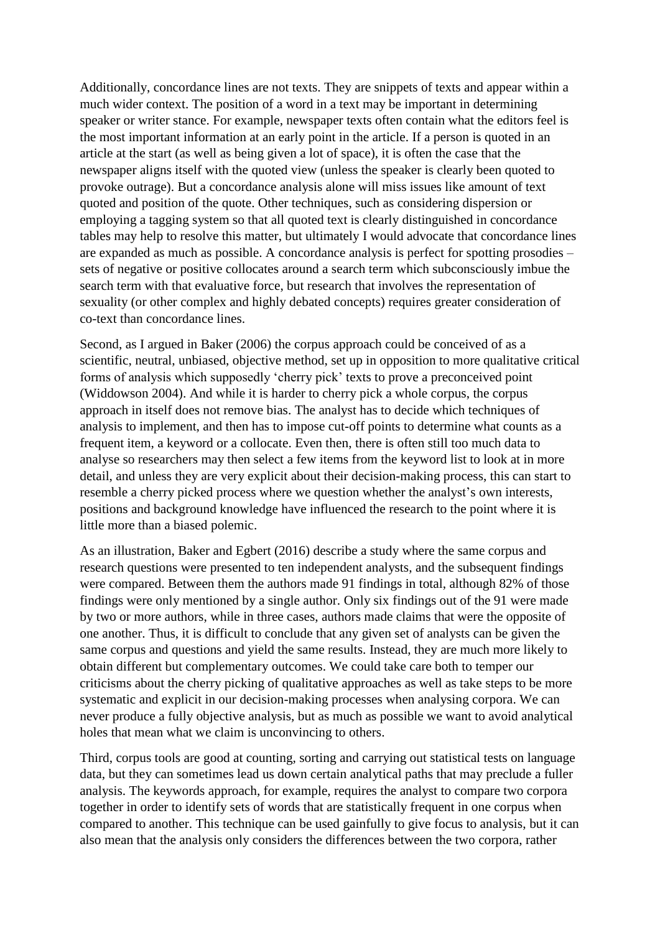Additionally, concordance lines are not texts. They are snippets of texts and appear within a much wider context. The position of a word in a text may be important in determining speaker or writer stance. For example, newspaper texts often contain what the editors feel is the most important information at an early point in the article. If a person is quoted in an article at the start (as well as being given a lot of space), it is often the case that the newspaper aligns itself with the quoted view (unless the speaker is clearly been quoted to provoke outrage). But a concordance analysis alone will miss issues like amount of text quoted and position of the quote. Other techniques, such as considering dispersion or employing a tagging system so that all quoted text is clearly distinguished in concordance tables may help to resolve this matter, but ultimately I would advocate that concordance lines are expanded as much as possible. A concordance analysis is perfect for spotting prosodies – sets of negative or positive collocates around a search term which subconsciously imbue the search term with that evaluative force, but research that involves the representation of sexuality (or other complex and highly debated concepts) requires greater consideration of co-text than concordance lines.

Second, as I argued in Baker (2006) the corpus approach could be conceived of as a scientific, neutral, unbiased, objective method, set up in opposition to more qualitative critical forms of analysis which supposedly 'cherry pick' texts to prove a preconceived point (Widdowson 2004). And while it is harder to cherry pick a whole corpus, the corpus approach in itself does not remove bias. The analyst has to decide which techniques of analysis to implement, and then has to impose cut-off points to determine what counts as a frequent item, a keyword or a collocate. Even then, there is often still too much data to analyse so researchers may then select a few items from the keyword list to look at in more detail, and unless they are very explicit about their decision-making process, this can start to resemble a cherry picked process where we question whether the analyst's own interests, positions and background knowledge have influenced the research to the point where it is little more than a biased polemic.

As an illustration, Baker and Egbert (2016) describe a study where the same corpus and research questions were presented to ten independent analysts, and the subsequent findings were compared. Between them the authors made 91 findings in total, although 82% of those findings were only mentioned by a single author. Only six findings out of the 91 were made by two or more authors, while in three cases, authors made claims that were the opposite of one another. Thus, it is difficult to conclude that any given set of analysts can be given the same corpus and questions and yield the same results. Instead, they are much more likely to obtain different but complementary outcomes. We could take care both to temper our criticisms about the cherry picking of qualitative approaches as well as take steps to be more systematic and explicit in our decision-making processes when analysing corpora. We can never produce a fully objective analysis, but as much as possible we want to avoid analytical holes that mean what we claim is unconvincing to others.

Third, corpus tools are good at counting, sorting and carrying out statistical tests on language data, but they can sometimes lead us down certain analytical paths that may preclude a fuller analysis. The keywords approach, for example, requires the analyst to compare two corpora together in order to identify sets of words that are statistically frequent in one corpus when compared to another. This technique can be used gainfully to give focus to analysis, but it can also mean that the analysis only considers the differences between the two corpora, rather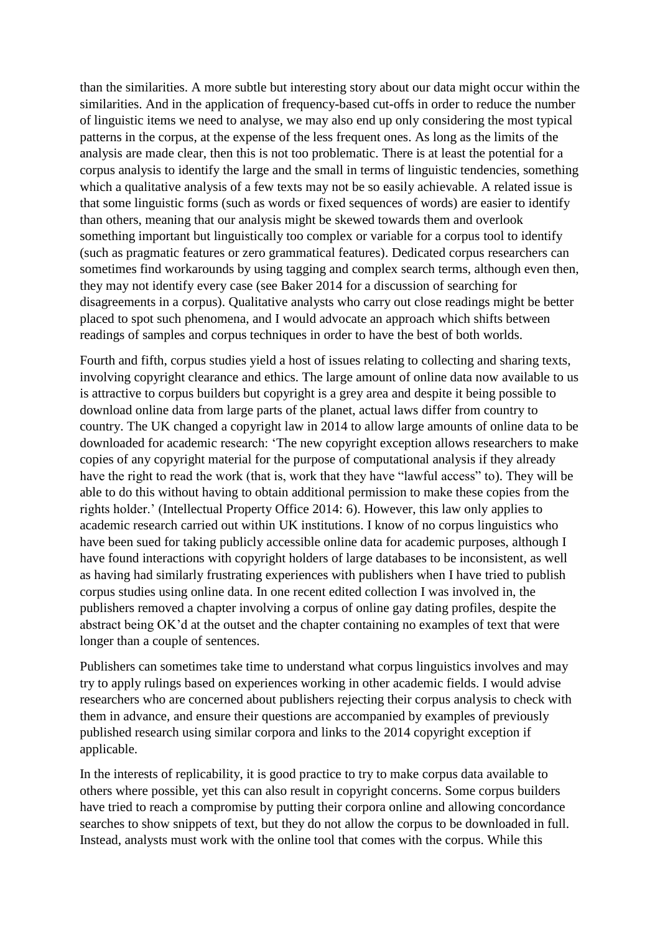than the similarities. A more subtle but interesting story about our data might occur within the similarities. And in the application of frequency-based cut-offs in order to reduce the number of linguistic items we need to analyse, we may also end up only considering the most typical patterns in the corpus, at the expense of the less frequent ones. As long as the limits of the analysis are made clear, then this is not too problematic. There is at least the potential for a corpus analysis to identify the large and the small in terms of linguistic tendencies, something which a qualitative analysis of a few texts may not be so easily achievable. A related issue is that some linguistic forms (such as words or fixed sequences of words) are easier to identify than others, meaning that our analysis might be skewed towards them and overlook something important but linguistically too complex or variable for a corpus tool to identify (such as pragmatic features or zero grammatical features). Dedicated corpus researchers can sometimes find workarounds by using tagging and complex search terms, although even then, they may not identify every case (see Baker 2014 for a discussion of searching for disagreements in a corpus). Qualitative analysts who carry out close readings might be better placed to spot such phenomena, and I would advocate an approach which shifts between readings of samples and corpus techniques in order to have the best of both worlds.

Fourth and fifth, corpus studies yield a host of issues relating to collecting and sharing texts, involving copyright clearance and ethics. The large amount of online data now available to us is attractive to corpus builders but copyright is a grey area and despite it being possible to download online data from large parts of the planet, actual laws differ from country to country. The UK changed a copyright law in 2014 to allow large amounts of online data to be downloaded for academic research: 'The new copyright exception allows researchers to make copies of any copyright material for the purpose of computational analysis if they already have the right to read the work (that is, work that they have "lawful access" to). They will be able to do this without having to obtain additional permission to make these copies from the rights holder.' (Intellectual Property Office 2014: 6). However, this law only applies to academic research carried out within UK institutions. I know of no corpus linguistics who have been sued for taking publicly accessible online data for academic purposes, although I have found interactions with copyright holders of large databases to be inconsistent, as well as having had similarly frustrating experiences with publishers when I have tried to publish corpus studies using online data. In one recent edited collection I was involved in, the publishers removed a chapter involving a corpus of online gay dating profiles, despite the abstract being OK'd at the outset and the chapter containing no examples of text that were longer than a couple of sentences.

Publishers can sometimes take time to understand what corpus linguistics involves and may try to apply rulings based on experiences working in other academic fields. I would advise researchers who are concerned about publishers rejecting their corpus analysis to check with them in advance, and ensure their questions are accompanied by examples of previously published research using similar corpora and links to the 2014 copyright exception if applicable.

In the interests of replicability, it is good practice to try to make corpus data available to others where possible, yet this can also result in copyright concerns. Some corpus builders have tried to reach a compromise by putting their corpora online and allowing concordance searches to show snippets of text, but they do not allow the corpus to be downloaded in full. Instead, analysts must work with the online tool that comes with the corpus. While this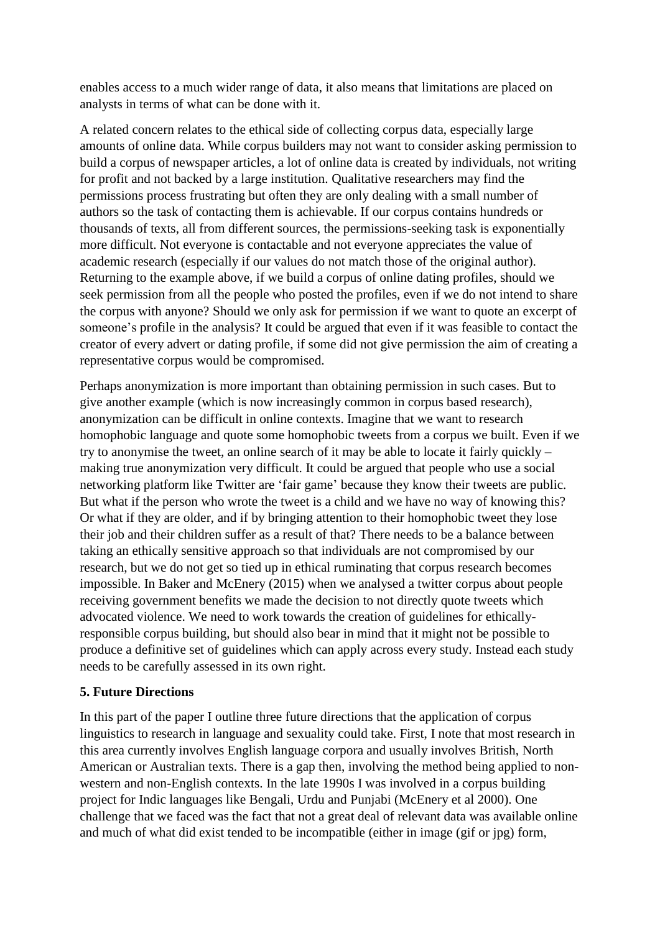enables access to a much wider range of data, it also means that limitations are placed on analysts in terms of what can be done with it.

A related concern relates to the ethical side of collecting corpus data, especially large amounts of online data. While corpus builders may not want to consider asking permission to build a corpus of newspaper articles, a lot of online data is created by individuals, not writing for profit and not backed by a large institution. Qualitative researchers may find the permissions process frustrating but often they are only dealing with a small number of authors so the task of contacting them is achievable. If our corpus contains hundreds or thousands of texts, all from different sources, the permissions-seeking task is exponentially more difficult. Not everyone is contactable and not everyone appreciates the value of academic research (especially if our values do not match those of the original author). Returning to the example above, if we build a corpus of online dating profiles, should we seek permission from all the people who posted the profiles, even if we do not intend to share the corpus with anyone? Should we only ask for permission if we want to quote an excerpt of someone's profile in the analysis? It could be argued that even if it was feasible to contact the creator of every advert or dating profile, if some did not give permission the aim of creating a representative corpus would be compromised.

Perhaps anonymization is more important than obtaining permission in such cases. But to give another example (which is now increasingly common in corpus based research), anonymization can be difficult in online contexts. Imagine that we want to research homophobic language and quote some homophobic tweets from a corpus we built. Even if we try to anonymise the tweet, an online search of it may be able to locate it fairly quickly – making true anonymization very difficult. It could be argued that people who use a social networking platform like Twitter are 'fair game' because they know their tweets are public. But what if the person who wrote the tweet is a child and we have no way of knowing this? Or what if they are older, and if by bringing attention to their homophobic tweet they lose their job and their children suffer as a result of that? There needs to be a balance between taking an ethically sensitive approach so that individuals are not compromised by our research, but we do not get so tied up in ethical ruminating that corpus research becomes impossible. In Baker and McEnery (2015) when we analysed a twitter corpus about people receiving government benefits we made the decision to not directly quote tweets which advocated violence. We need to work towards the creation of guidelines for ethicallyresponsible corpus building, but should also bear in mind that it might not be possible to produce a definitive set of guidelines which can apply across every study. Instead each study needs to be carefully assessed in its own right.

#### **5. Future Directions**

In this part of the paper I outline three future directions that the application of corpus linguistics to research in language and sexuality could take. First, I note that most research in this area currently involves English language corpora and usually involves British, North American or Australian texts. There is a gap then, involving the method being applied to nonwestern and non-English contexts. In the late 1990s I was involved in a corpus building project for Indic languages like Bengali, Urdu and Punjabi (McEnery et al 2000). One challenge that we faced was the fact that not a great deal of relevant data was available online and much of what did exist tended to be incompatible (either in image (gif or jpg) form,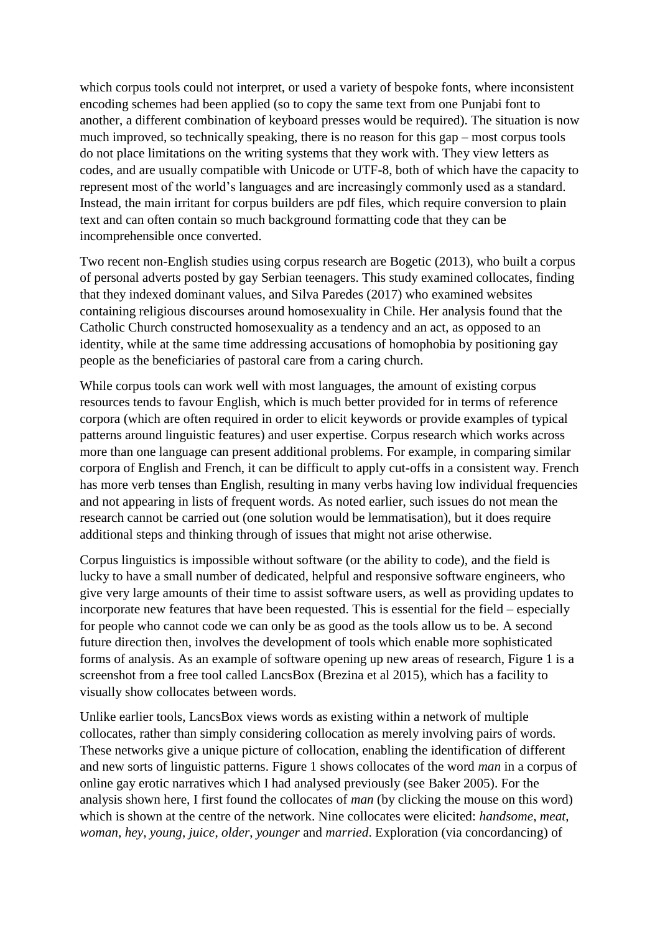which corpus tools could not interpret, or used a variety of bespoke fonts, where inconsistent encoding schemes had been applied (so to copy the same text from one Punjabi font to another, a different combination of keyboard presses would be required). The situation is now much improved, so technically speaking, there is no reason for this gap – most corpus tools do not place limitations on the writing systems that they work with. They view letters as codes, and are usually compatible with Unicode or UTF-8, both of which have the capacity to represent most of the world's languages and are increasingly commonly used as a standard. Instead, the main irritant for corpus builders are pdf files, which require conversion to plain text and can often contain so much background formatting code that they can be incomprehensible once converted.

Two recent non-English studies using corpus research are Bogetic (2013), who built a corpus of personal adverts posted by gay Serbian teenagers. This study examined collocates, finding that they indexed dominant values, and Silva Paredes (2017) who examined websites containing religious discourses around homosexuality in Chile. Her analysis found that the Catholic Church constructed homosexuality as a tendency and an act, as opposed to an identity, while at the same time addressing accusations of homophobia by positioning gay people as the beneficiaries of pastoral care from a caring church.

While corpus tools can work well with most languages, the amount of existing corpus resources tends to favour English, which is much better provided for in terms of reference corpora (which are often required in order to elicit keywords or provide examples of typical patterns around linguistic features) and user expertise. Corpus research which works across more than one language can present additional problems. For example, in comparing similar corpora of English and French, it can be difficult to apply cut-offs in a consistent way. French has more verb tenses than English, resulting in many verbs having low individual frequencies and not appearing in lists of frequent words. As noted earlier, such issues do not mean the research cannot be carried out (one solution would be lemmatisation), but it does require additional steps and thinking through of issues that might not arise otherwise.

Corpus linguistics is impossible without software (or the ability to code), and the field is lucky to have a small number of dedicated, helpful and responsive software engineers, who give very large amounts of their time to assist software users, as well as providing updates to incorporate new features that have been requested. This is essential for the field – especially for people who cannot code we can only be as good as the tools allow us to be. A second future direction then, involves the development of tools which enable more sophisticated forms of analysis. As an example of software opening up new areas of research, Figure 1 is a screenshot from a free tool called LancsBox (Brezina et al 2015), which has a facility to visually show collocates between words.

Unlike earlier tools, LancsBox views words as existing within a network of multiple collocates, rather than simply considering collocation as merely involving pairs of words. These networks give a unique picture of collocation, enabling the identification of different and new sorts of linguistic patterns. Figure 1 shows collocates of the word *man* in a corpus of online gay erotic narratives which I had analysed previously (see Baker 2005). For the analysis shown here, I first found the collocates of *man* (by clicking the mouse on this word) which is shown at the centre of the network. Nine collocates were elicited: *handsome*, *meat*, *woman*, *hey*, *young*, *juice*, *older*, *younger* and *married*. Exploration (via concordancing) of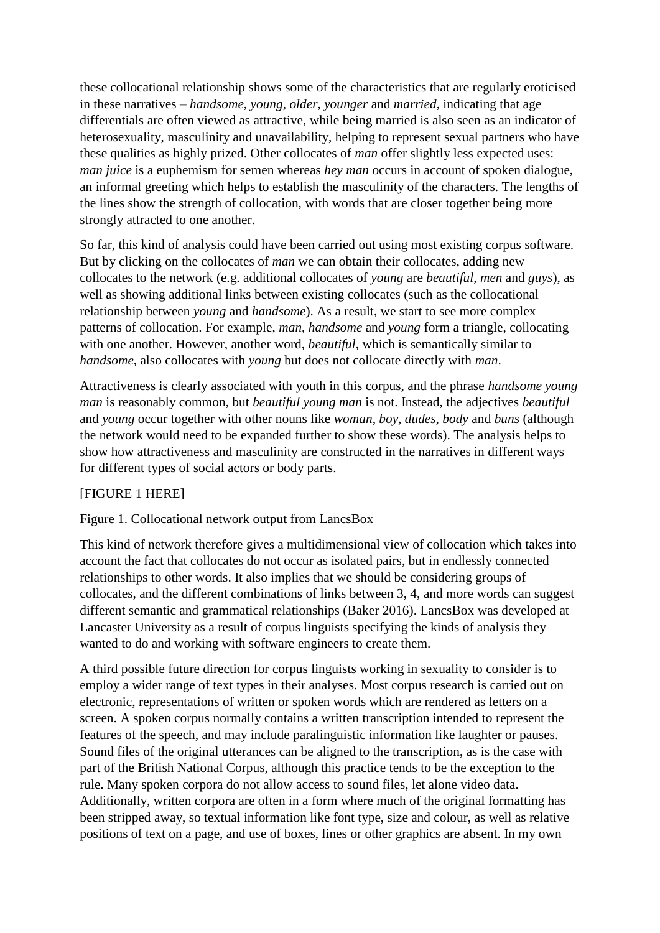these collocational relationship shows some of the characteristics that are regularly eroticised in these narratives – *handsome*, *young*, *older*, *younger* and *married*, indicating that age differentials are often viewed as attractive, while being married is also seen as an indicator of heterosexuality, masculinity and unavailability, helping to represent sexual partners who have these qualities as highly prized. Other collocates of *man* offer slightly less expected uses: *man juice* is a euphemism for semen whereas *hey man* occurs in account of spoken dialogue, an informal greeting which helps to establish the masculinity of the characters. The lengths of the lines show the strength of collocation, with words that are closer together being more strongly attracted to one another.

So far, this kind of analysis could have been carried out using most existing corpus software. But by clicking on the collocates of *man* we can obtain their collocates, adding new collocates to the network (e.g. additional collocates of *young* are *beautiful*, *men* and *guys*), as well as showing additional links between existing collocates (such as the collocational relationship between *young* and *handsome*). As a result, we start to see more complex patterns of collocation. For example, *man*, *handsome* and *young* form a triangle, collocating with one another. However, another word, *beautiful*, which is semantically similar to *handsome*, also collocates with *young* but does not collocate directly with *man*.

Attractiveness is clearly associated with youth in this corpus, and the phrase *handsome young man* is reasonably common, but *beautiful young man* is not. Instead, the adjectives *beautiful* and *young* occur together with other nouns like *woman*, *boy*, *dudes*, *body* and *buns* (although the network would need to be expanded further to show these words). The analysis helps to show how attractiveness and masculinity are constructed in the narratives in different ways for different types of social actors or body parts.

## [FIGURE 1 HERE]

## Figure 1. Collocational network output from LancsBox

This kind of network therefore gives a multidimensional view of collocation which takes into account the fact that collocates do not occur as isolated pairs, but in endlessly connected relationships to other words. It also implies that we should be considering groups of collocates, and the different combinations of links between 3, 4, and more words can suggest different semantic and grammatical relationships (Baker 2016). LancsBox was developed at Lancaster University as a result of corpus linguists specifying the kinds of analysis they wanted to do and working with software engineers to create them.

A third possible future direction for corpus linguists working in sexuality to consider is to employ a wider range of text types in their analyses. Most corpus research is carried out on electronic, representations of written or spoken words which are rendered as letters on a screen. A spoken corpus normally contains a written transcription intended to represent the features of the speech, and may include paralinguistic information like laughter or pauses. Sound files of the original utterances can be aligned to the transcription, as is the case with part of the British National Corpus, although this practice tends to be the exception to the rule. Many spoken corpora do not allow access to sound files, let alone video data. Additionally, written corpora are often in a form where much of the original formatting has been stripped away, so textual information like font type, size and colour, as well as relative positions of text on a page, and use of boxes, lines or other graphics are absent. In my own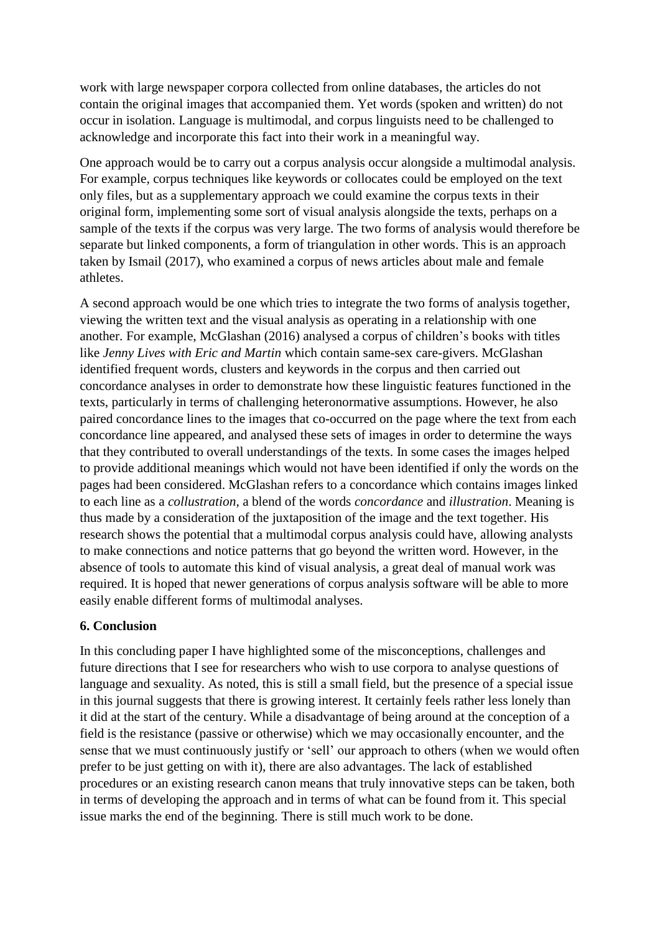work with large newspaper corpora collected from online databases, the articles do not contain the original images that accompanied them. Yet words (spoken and written) do not occur in isolation. Language is multimodal, and corpus linguists need to be challenged to acknowledge and incorporate this fact into their work in a meaningful way.

One approach would be to carry out a corpus analysis occur alongside a multimodal analysis. For example, corpus techniques like keywords or collocates could be employed on the text only files, but as a supplementary approach we could examine the corpus texts in their original form, implementing some sort of visual analysis alongside the texts, perhaps on a sample of the texts if the corpus was very large. The two forms of analysis would therefore be separate but linked components, a form of triangulation in other words. This is an approach taken by Ismail (2017), who examined a corpus of news articles about male and female athletes.

A second approach would be one which tries to integrate the two forms of analysis together, viewing the written text and the visual analysis as operating in a relationship with one another. For example, McGlashan (2016) analysed a corpus of children's books with titles like *Jenny Lives with Eric and Martin* which contain same-sex care-givers. McGlashan identified frequent words, clusters and keywords in the corpus and then carried out concordance analyses in order to demonstrate how these linguistic features functioned in the texts, particularly in terms of challenging heteronormative assumptions. However, he also paired concordance lines to the images that co-occurred on the page where the text from each concordance line appeared, and analysed these sets of images in order to determine the ways that they contributed to overall understandings of the texts. In some cases the images helped to provide additional meanings which would not have been identified if only the words on the pages had been considered. McGlashan refers to a concordance which contains images linked to each line as a *collustration*, a blend of the words *concordance* and *illustration*. Meaning is thus made by a consideration of the juxtaposition of the image and the text together. His research shows the potential that a multimodal corpus analysis could have, allowing analysts to make connections and notice patterns that go beyond the written word. However, in the absence of tools to automate this kind of visual analysis, a great deal of manual work was required. It is hoped that newer generations of corpus analysis software will be able to more easily enable different forms of multimodal analyses.

#### **6. Conclusion**

In this concluding paper I have highlighted some of the misconceptions, challenges and future directions that I see for researchers who wish to use corpora to analyse questions of language and sexuality. As noted, this is still a small field, but the presence of a special issue in this journal suggests that there is growing interest. It certainly feels rather less lonely than it did at the start of the century. While a disadvantage of being around at the conception of a field is the resistance (passive or otherwise) which we may occasionally encounter, and the sense that we must continuously justify or 'sell' our approach to others (when we would often prefer to be just getting on with it), there are also advantages. The lack of established procedures or an existing research canon means that truly innovative steps can be taken, both in terms of developing the approach and in terms of what can be found from it. This special issue marks the end of the beginning. There is still much work to be done.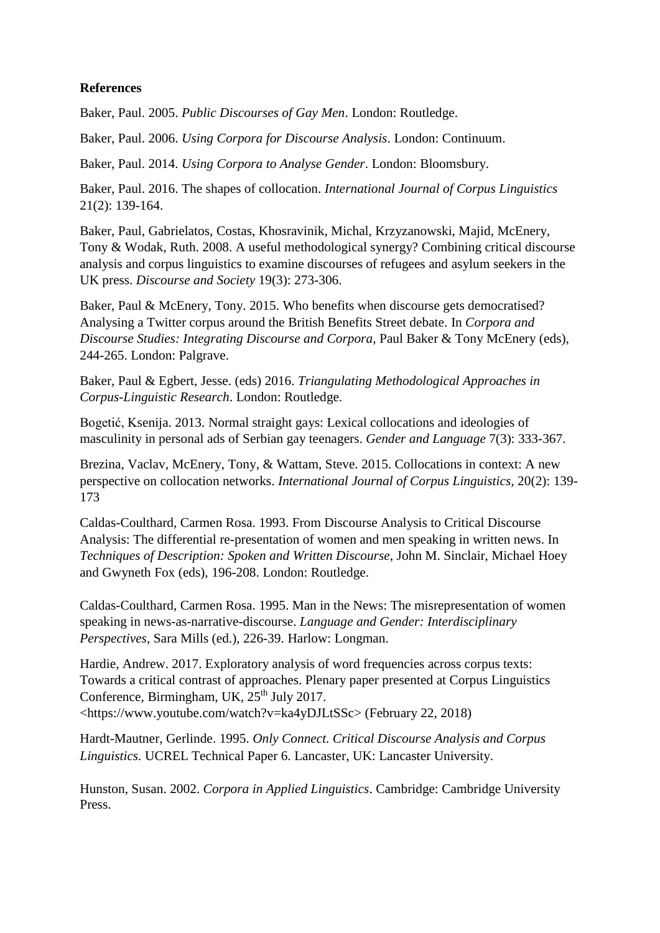### **References**

Baker, Paul. 2005. *Public Discourses of Gay Men*. London: Routledge.

Baker, Paul. 2006. *Using Corpora for Discourse Analysis*. London: Continuum.

Baker, Paul. 2014. *Using Corpora to Analyse Gender*. London: Bloomsbury.

Baker, Paul. 2016. The shapes of collocation. *International Journal of Corpus Linguistics* 21(2): 139-164.

Baker, Paul, Gabrielatos, Costas, Khosravinik, Michal, Krzyzanowski, Majid, McEnery, Tony & Wodak, Ruth. 2008. A useful methodological synergy? Combining critical discourse analysis and corpus linguistics to examine discourses of refugees and asylum seekers in the UK press. *Discourse and Society* 19(3): 273-306.

Baker, Paul & McEnery, Tony. 2015. Who benefits when discourse gets democratised? Analysing a Twitter corpus around the British Benefits Street debate. In *Corpora and Discourse Studies: Integrating Discourse and Corpora*, Paul Baker & Tony McEnery (eds), 244-265. London: Palgrave.

Baker, Paul & Egbert, Jesse. (eds) 2016. *Triangulating Methodological Approaches in Corpus-Linguistic Research*. London: Routledge.

Bogetić, Ksenija. 2013. Normal straight gays: Lexical collocations and ideologies of masculinity in personal ads of Serbian gay teenagers. *Gender and Language* 7(3): 333-367.

Brezina, Vaclav, McEnery, Tony, & Wattam, Steve. 2015. Collocations in context: A new perspective on collocation networks. *International Journal of Corpus Linguistics,* 20(2): 139- 173

Caldas-Coulthard, Carmen Rosa. 1993. From Discourse Analysis to Critical Discourse Analysis: The differential re-presentation of women and men speaking in written news. In *Techniques of Description: Spoken and Written Discourse*, John M. Sinclair, Michael Hoey and Gwyneth Fox (eds), 196-208. London: Routledge.

Caldas-Coulthard, Carmen Rosa. 1995. Man in the News: The misrepresentation of women speaking in news-as-narrative-discourse. *Language and Gender: Interdisciplinary Perspectives*, Sara Mills (ed.), 226-39. Harlow: Longman.

Hardie, Andrew. 2017. Exploratory analysis of word frequencies across corpus texts: Towards a critical contrast of approaches. Plenary paper presented at Corpus Linguistics Conference, Birmingham, UK,  $25<sup>th</sup>$  July 2017. <https://www.youtube.com/watch?v=ka4yDJLtSSc> (February 22, 2018)

Hardt-Mautner, Gerlinde. 1995. *Only Connect. Critical Discourse Analysis and Corpus Linguistics.* UCREL Technical Paper 6. Lancaster, UK: Lancaster University.

Hunston, Susan. 2002. *Corpora in Applied Linguistics*. Cambridge: Cambridge University Press.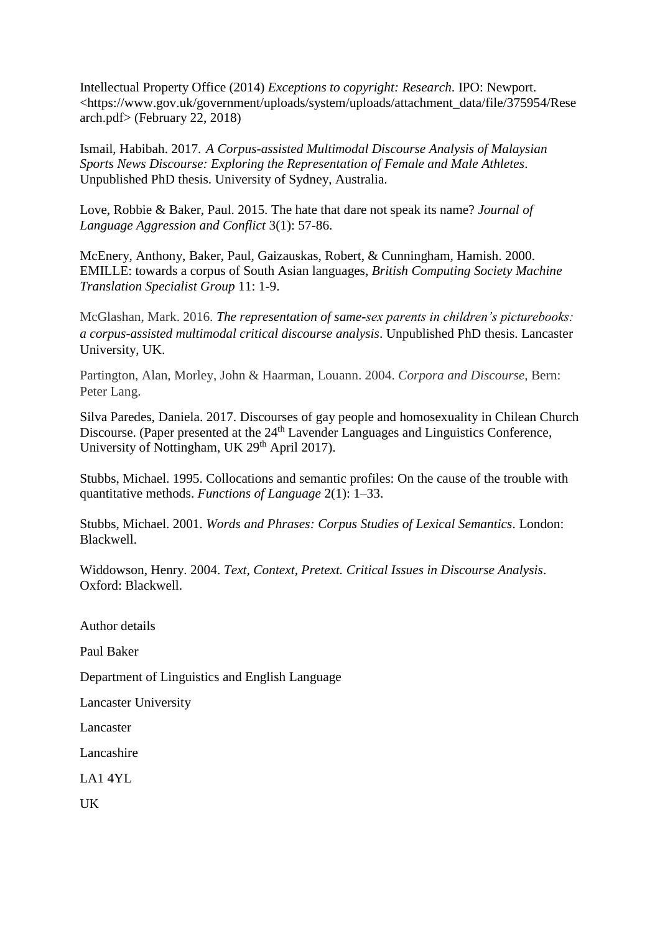Intellectual Property Office (2014) *Exceptions to copyright: Research*. IPO: Newport. <https://www.gov.uk/government/uploads/system/uploads/attachment\_data/file/375954/Rese arch.pdf> (February 22, 2018)

Ismail, Habibah. 2017. *A Corpus-assisted Multimodal Discourse Analysis of Malaysian Sports News Discourse: Exploring the Representation of Female and Male Athletes*. Unpublished PhD thesis. University of Sydney, Australia.

Love, Robbie & Baker, Paul. 2015. The hate that dare not speak its name? *Journal of Language Aggression and Conflict* 3(1): 57-86.

McEnery, Anthony, Baker, Paul, Gaizauskas, Robert, & Cunningham, Hamish. 2000. EMILLE: towards a corpus of South Asian languages, *British Computing Society Machine Translation Specialist Group* 11: 1-9.

McGlashan, Mark. 2016. *The representation of same-sex parents in children's picturebooks: a corpus-assisted multimodal critical discourse analysis*. Unpublished PhD thesis. Lancaster University, UK.

Partington, Alan, Morley, John & Haarman, Louann. 2004. *Corpora and Discourse*, Bern: Peter Lang.

Silva Paredes, Daniela. 2017. Discourses of gay people and homosexuality in Chilean Church Discourse. (Paper presented at the 24<sup>th</sup> Lavender Languages and Linguistics Conference, University of Nottingham, UK 29<sup>th</sup> April 2017).

Stubbs, Michael. 1995. Collocations and semantic profiles: On the cause of the trouble with quantitative methods. *Functions of Language* 2(1): 1–33.

Stubbs, Michael. 2001. *Words and Phrases: Corpus Studies of Lexical Semantics*. London: Blackwell.

Widdowson, Henry. 2004. *Text, Context, Pretext. Critical Issues in Discourse Analysis*. Oxford: Blackwell.

Author details

Paul Baker

Department of Linguistics and English Language

Lancaster University

Lancaster

Lancashire

LA1 4YL

UK